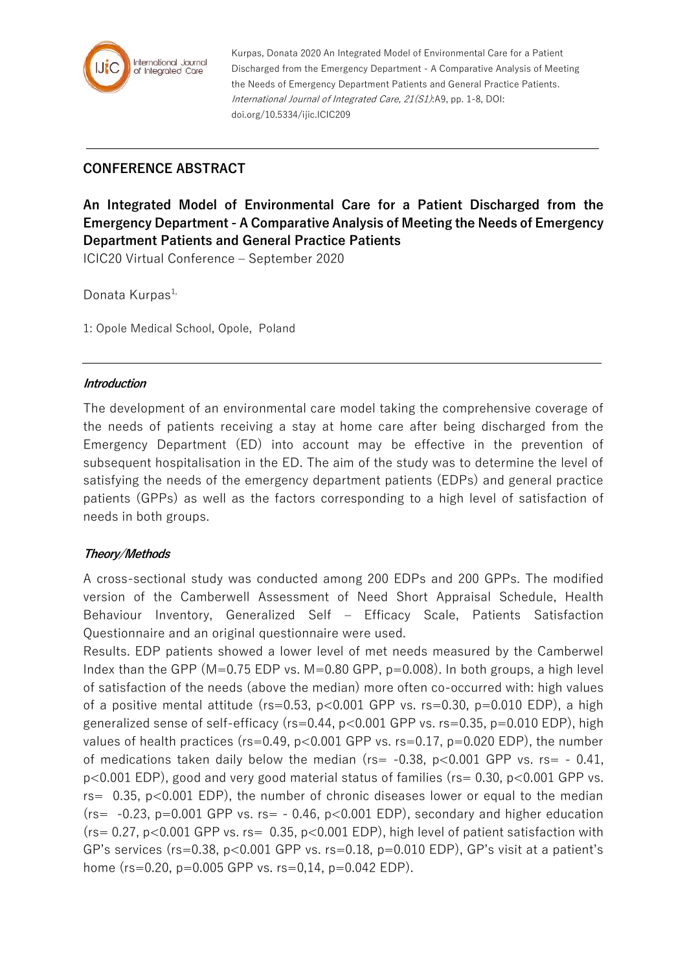

Kurpas, Donata 2020 An Integrated Model of Environmental Care for a Patient Discharged from the Emergency Department - A Comparative Analysis of Meeting the Needs of Emergency Department Patients and General Practice Patients. International Journal of Integrated Care, 21(S1):A9, pp. 1-8, DOI: doi.org/10.5334/ijic.ICIC209

# **CONFERENCE ABSTRACT**

**An Integrated Model of Environmental Care for a Patient Discharged from the Emergency Department - A Comparative Analysis of Meeting the Needs of Emergency Department Patients and General Practice Patients**

ICIC20 Virtual Conference – September 2020

Donata Kurpas<sup>1,</sup>

1: Opole Medical School, Opole, Poland

#### **Introduction**

The development of an environmental care model taking the comprehensive coverage of the needs of patients receiving a stay at home care after being discharged from the Emergency Department (ED) into account may be effective in the prevention of subsequent hospitalisation in the ED. The aim of the study was to determine the level of satisfying the needs of the emergency department patients (EDPs) and general practice patients (GPPs) as well as the factors corresponding to a high level of satisfaction of needs in both groups.

#### **Theory/Methods**

A cross-sectional study was conducted among 200 EDPs and 200 GPPs. The modified version of the Camberwell Assessment of Need Short Appraisal Schedule, Health Behaviour Inventory, Generalized Self – Efficacy Scale, Patients Satisfaction Questionnaire and an original questionnaire were used.

Results. EDP patients showed a lower level of met needs measured by the Camberwel Index than the GPP (M=0.75 EDP vs. M=0.80 GPP,  $p=0.008$ ). In both groups, a high level of satisfaction of the needs (above the median) more often co-occurred with: high values of a positive mental attitude ( $rs=0.53$ ,  $p<0.001$  GPP vs.  $rs=0.30$ ,  $p=0.010$  EDP), a high generalized sense of self-efficacy ( $rs=0.44$ ,  $p<0.001$  GPP vs.  $rs=0.35$ ,  $p=0.010$  EDP), high values of health practices ( $rs=0.49$ ,  $p<0.001$  GPP vs.  $rs=0.17$ ,  $p=0.020$  EDP), the number of medications taken daily below the median ( $rs = -0.38$ ,  $p < 0.001$  GPP vs.  $rs = -0.41$ , p<0.001 EDP), good and very good material status of families (rs= 0.30, p<0.001 GPP vs.  $rs=$  0.35,  $p<0.001$  EDP), the number of chronic diseases lower or equal to the median  $(rs = -0.23, p=0.001$  GPP vs.  $rs = -0.46, p<0.001$  EDP), secondary and higher education  $(r_s= 0.27, p<0.001$  GPP vs.  $rs= 0.35, p<0.001$  EDP), high level of patient satisfaction with GP's services ( $rs=0.38$ ,  $p<0.001$  GPP vs.  $rs=0.18$ ,  $p=0.010$  EDP), GP's visit at a patient's home (rs=0.20, p=0.005 GPP vs. rs=0,14, p=0.042 EDP).